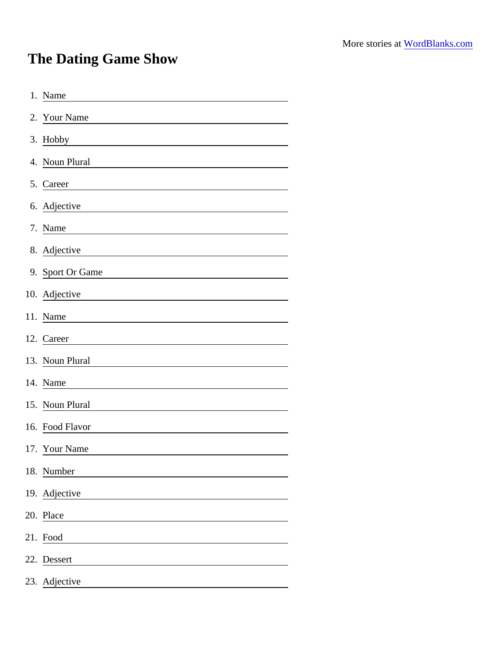## The Dating Game Show

| 1. Name                                                                |
|------------------------------------------------------------------------|
| 2. Your Name                                                           |
| 3. Hobby<br><u> 1980 - Johann Barbara, martxa alemani</u> ar a         |
| 4. Noun Plural                                                         |
| 5. Career                                                              |
| 6. Adjective                                                           |
| 7. Name                                                                |
| 8. Adjective                                                           |
| 9. Sport Or Game                                                       |
| 10. Adjective<br><u> 1989 - Johann Stein, fransk politik (d. 1989)</u> |
| 11. Name                                                               |
| 12. Career                                                             |
| 13. Noun Plural                                                        |
| 14. Name                                                               |
| 15. Noun Plural                                                        |
| 16. Food Flavor                                                        |
| 17. Your Name                                                          |
| 18. Number                                                             |
| 19. Adjective                                                          |
| 20. Place                                                              |
| 21. Food                                                               |
| 22. Dessert                                                            |
| 23. Adjective                                                          |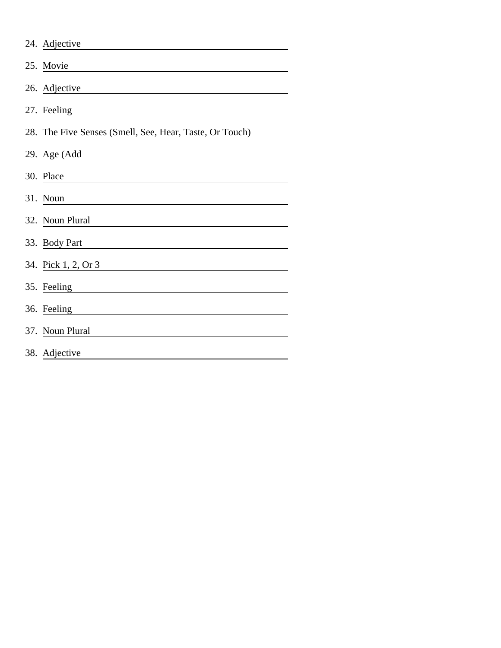| 24. Adjective                                           |
|---------------------------------------------------------|
| 25. Movie                                               |
| 26. Adjective                                           |
| 27. Feeling                                             |
| 28. The Five Senses (Smell, See, Hear, Taste, Or Touch) |
| 29. Age (Add                                            |
| 30. Place                                               |
| 31. Noun                                                |
| 32. Noun Plural                                         |
| 33. Body Part                                           |
| 34. Pick 1, 2, Or 3                                     |
| 35. Feeling                                             |
| 36. Feeling                                             |
| 37. Noun Plural                                         |
| 38. Adjective                                           |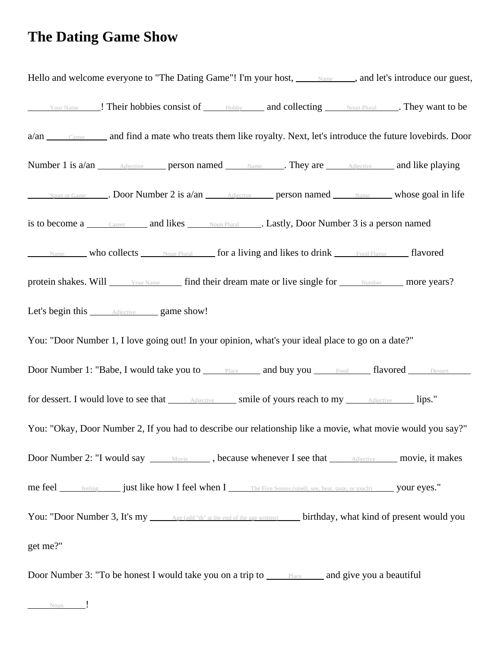## **The Dating Game Show**

Hello and welcome everyone to "The Dating Game"! I'm your host, Name , and let's introduce our guest, Your Name 1. Their hobbies consist of Hobby and collecting Noun Plural . They want to be a/an Career and find a mate who treats them like royalty. Next, let's introduce the future lovebirds. Door Number 1 is  $a/an$  Adjective person named Name . They are Adjective and like playing Sport or Game  $\Box$ . Door Number 2 is  $a/an$  Adjective person named Name whose goal in life is to become a Career and likes Noun Plural . Lastly, Door Number 3 is a person named Name who collects  $\Box$  Noun Plural  $\Box$  for a living and likes to drink Food Flavor  $\Box$  flavored protein shakes. Will Your Name find their dream mate or live single for Number more years? Let's begin this Adjective game show! You: "Door Number 1, I love going out! In your opinion, what's your ideal place to go on a date?" Door Number 1: "Babe, I would take you to Place and buy you Food flavored Dessert for dessert. I would love to see that **Adjective** smile of yours reach to my *Adjective* lips." You: "Okay, Door Number 2, If you had to describe our relationship like a movie, what movie would you say?" Door Number 2: "I would say Movie , because whenever I see that Adjective movie, it makes me feel feeling just like how I feel when I The Five Senses (smell, see, hear, taste, or touch) your eyes." You: "Door Number 3, It's my <u>Age (add "th" at the end of the age written</u>) birthday, what kind of present would you get me?" Door Number 3: "To be honest I would take you on a trip to  $\frac{\text{Place}}{\text{Place}}$  and give you a beautiful

Noun !